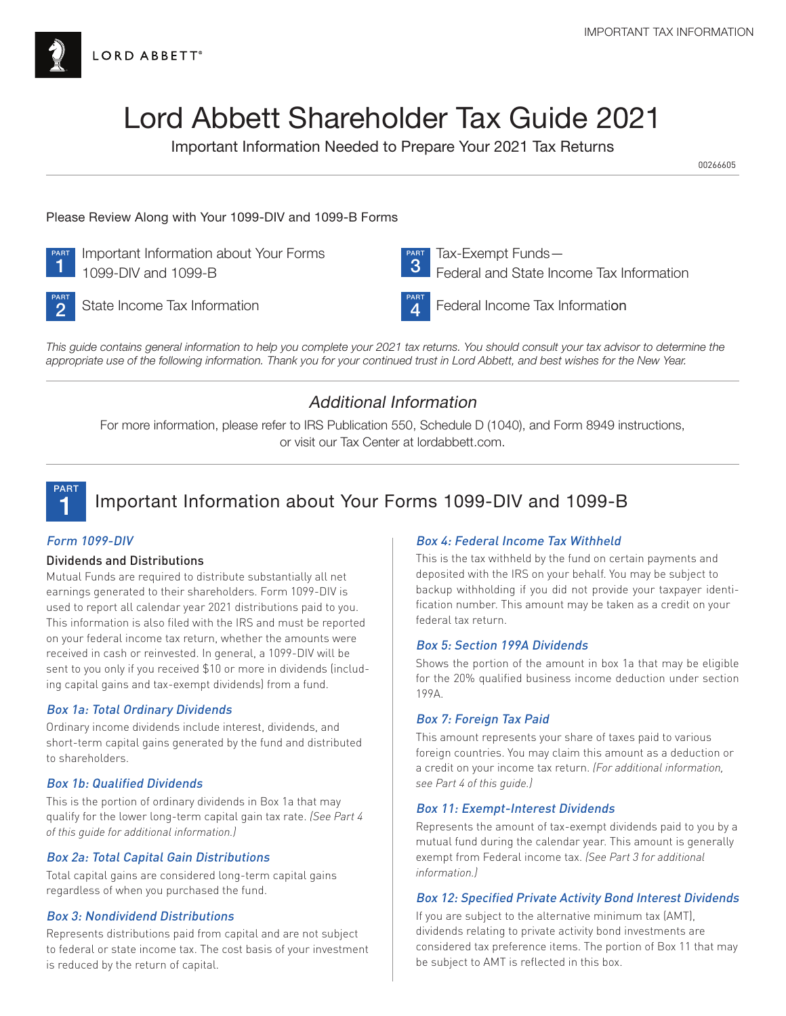

# Lord Abbett Shareholder Tax Guide 2021

Important Information Needed to Prepare Your 2021 Tax Returns

00266605

# Please Review Along with Your 1099-DIV and 1099-B Forms



**PART** Important Information about Your Forms<br>
1 1099-DIV and 1099-B 1099-DIV and 1099-B



 Tax-Exempt Funds— Federal and State Income Tax Information



 $2^{\frac{\text{ART}}{\text{7}}}$  State Income Tax Information

4

Federal Income Tax Information

*This guide contains general information to help you complete your 2021 tax returns. You should consult your tax advisor to determine the appropriate use of the following information. Thank you for your continued trust in Lord Abbett, and best wishes for the New Year.*

# Additional Information

For more information, please refer to IRS Publication 550, Schedule D (1040), and Form 8949 instructions, or visit our Tax Center at lordabbett.com.



# 1 Important Information about Your Forms 1099-DIV and 1099-B

# Form 1099-DIV

# Dividends and Distributions

Mutual Funds are required to distribute substantially all net earnings generated to their shareholders. Form 1099-DIV is used to report all calendar year 2021 distributions paid to you. This information is also filed with the IRS and must be reported on your federal income tax return, whether the amounts were received in cash or reinvested. In general, a 1099-DIV will be sent to you only if you received \$10 or more in dividends (including capital gains and tax-exempt dividends) from a fund.

# Box 1a: Total Ordinary Dividends

Ordinary income dividends include interest, dividends, and short-term capital gains generated by the fund and distributed to shareholders.

# Box 1b: Qualified Dividends

This is the portion of ordinary dividends in Box 1a that may qualify for the lower long-term capital gain tax rate. *(See Part 4 of this guide for additional information.)*

# Box 2a: Total Capital Gain Distributions

Total capital gains are considered long-term capital gains regardless of when you purchased the fund.

# Box 3: Nondividend Distributions

Represents distributions paid from capital and are not subject to federal or state income tax. The cost basis of your investment is reduced by the return of capital.

# Box 4: Federal Income Tax Withheld

This is the tax withheld by the fund on certain payments and deposited with the IRS on your behalf. You may be subject to backup withholding if you did not provide your taxpayer identification number. This amount may be taken as a credit on your federal tax return.

# Box 5: Section 199A Dividends

Shows the portion of the amount in box 1a that may be eligible for the 20% qualified business income deduction under section 199A.

# Box 7: Foreign Tax Paid

This amount represents your share of taxes paid to various foreign countries. You may claim this amount as a deduction or a credit on your income tax return. *(For additional information, see Part 4 of this guide.)*

# Box 11: Exempt-Interest Dividends

Represents the amount of tax-exempt dividends paid to you by a mutual fund during the calendar year. This amount is generally exempt from Federal income tax. *(See Part 3 for additional information.)*

# Box 12: Specified Private Activity Bond Interest Dividends

If you are subject to the alternative minimum tax (AMT), dividends relating to private activity bond investments are considered tax preference items. The portion of Box 11 that may be subject to AMT is reflected in this box.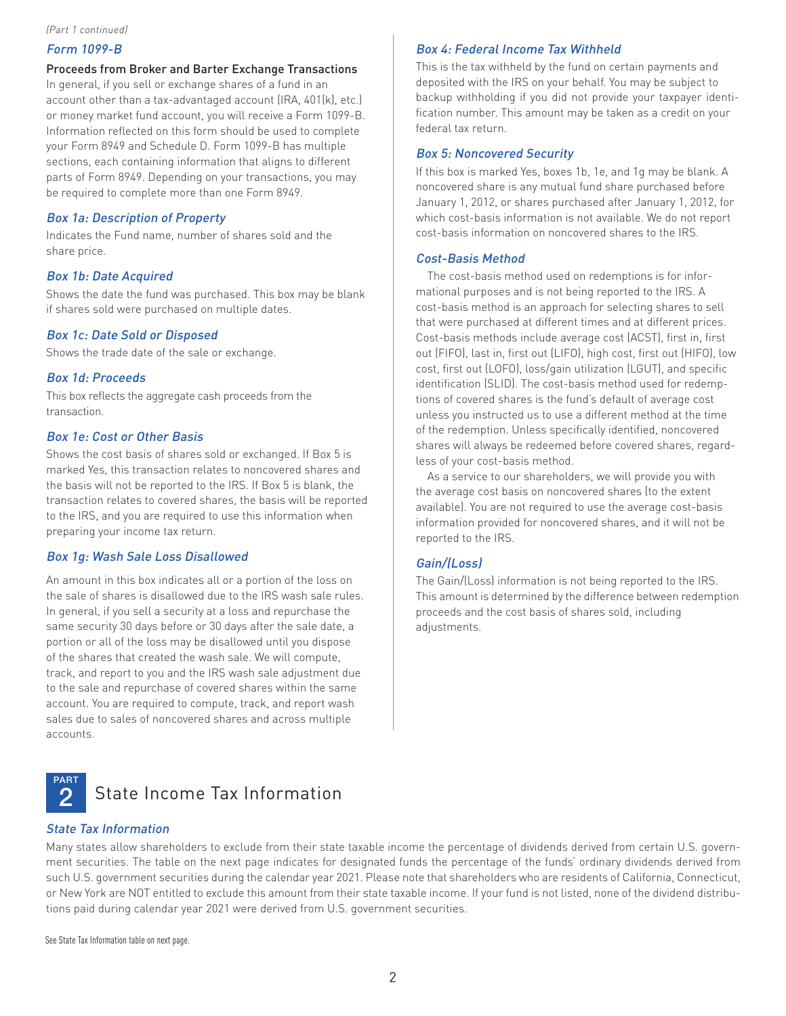#### *(Part 1 continued)*

# Form 1099-B

Proceeds from Broker and Barter Exchange Transactions

In general, if you sell or exchange shares of a fund in an account other than a tax-advantaged account (IRA, 401(k), etc.) or money market fund account, you will receive a Form 1099-B. Information reflected on this form should be used to complete your Form 8949 and Schedule D. Form 1099-B has multiple sections, each containing information that aligns to different parts of Form 8949. Depending on your transactions, you may be required to complete more than one Form 8949.

# Box 1a: Description of Property

Indicates the Fund name, number of shares sold and the share price.

#### Box 1b: Date Acquired

Shows the date the fund was purchased. This box may be blank if shares sold were purchased on multiple dates.

#### Box 1c: Date Sold or Disposed

Shows the trade date of the sale or exchange.

#### Box 1d: Proceeds

This box reflects the aggregate cash proceeds from the transaction.

### Box 1e: Cost or Other Basis

Shows the cost basis of shares sold or exchanged. If Box 5 is marked Yes, this transaction relates to noncovered shares and the basis will not be reported to the IRS. If Box 5 is blank, the transaction relates to covered shares, the basis will be reported to the IRS, and you are required to use this information when preparing your income tax return.

#### Box 1g: Wash Sale Loss Disallowed

An amount in this box indicates all or a portion of the loss on the sale of shares is disallowed due to the IRS wash sale rules. In general, if you sell a security at a loss and repurchase the same security 30 days before or 30 days after the sale date, a portion or all of the loss may be disallowed until you dispose of the shares that created the wash sale. We will compute, track, and report to you and the IRS wash sale adjustment due to the sale and repurchase of covered shares within the same account. You are required to compute, track, and report wash sales due to sales of noncovered shares and across multiple accounts.

# Box 4: Federal Income Tax Withheld

This is the tax withheld by the fund on certain payments and deposited with the IRS on your behalf. You may be subject to backup withholding if you did not provide your taxpayer identification number. This amount may be taken as a credit on your federal tax return.

#### Box 5: Noncovered Security

If this box is marked Yes, boxes 1b, 1e, and 1g may be blank. A noncovered share is any mutual fund share purchased before January 1, 2012, or shares purchased after January 1, 2012, for which cost-basis information is not available. We do not report cost-basis information on noncovered shares to the IRS.

### Cost-Basis Method

The cost-basis method used on redemptions is for informational purposes and is not being reported to the IRS. A cost-basis method is an approach for selecting shares to sell that were purchased at different times and at different prices. Cost-basis methods include average cost (ACST), first in, first out (FIFO), last in, first out (LIFO), high cost, first out (HIFO), low cost, first out (LOFO), loss/gain utilization (LGUT), and specific identification (SLID). The cost-basis method used for redemptions of covered shares is the fund's default of average cost unless you instructed us to use a different method at the time of the redemption. Unless specifically identified, noncovered shares will always be redeemed before covered shares, regardless of your cost-basis method.

As a service to our shareholders, we will provide you with the average cost basis on noncovered shares (to the extent available). You are not required to use the average cost-basis information provided for noncovered shares, and it will not be reported to the IRS.

# Gain/(Loss)

The Gain/(Loss) information is not being reported to the IRS. This amount is determined by the difference between redemption proceeds and the cost basis of shares sold, including adjustments.



# <sup>2</sup> State Income Tax Information

#### State Tax Information

Many states allow shareholders to exclude from their state taxable income the percentage of dividends derived from certain U.S. government securities. The table on the next page indicates for designated funds the percentage of the funds' ordinary dividends derived from such U.S. government securities during the calendar year 2021. Please note that shareholders who are residents of California, Connecticut, or New York are NOT entitled to exclude this amount from their state taxable income. If your fund is not listed, none of the dividend distributions paid during calendar year 2021 were derived from U.S. government securities.

See State Tax Information table on next page.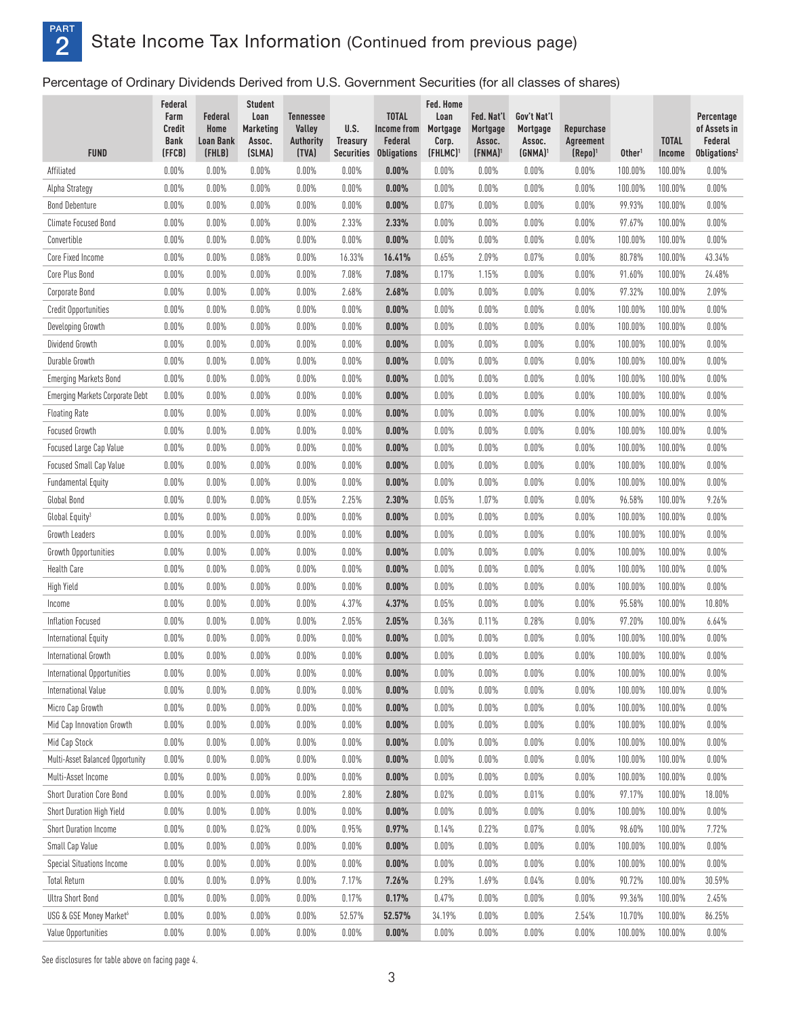# PART **2** State Income Tax Information (Continued from previous page)

Percentage of Ordinary Dividends Derived from U.S. Government Securities (for all classes of shares)

| <b>FUND</b>                            | Federal<br>Farm<br><b>Credit</b><br><b>Bank</b><br>(FFCB) | Federal<br>Home<br><b>Loan Bank</b> | <b>Student</b><br>Loan<br><b>Marketing</b><br>Assoc. | <b>Tennessee</b><br>Valley<br><b>Authority</b><br>(TVA) | U.S.<br><b>Treasury</b><br><b>Securities</b> | <b>TOTAL</b><br>Income from<br>Federal | Fed. Home<br>Loan<br>Mortgage<br>Corp.<br>(FHLMC) <sup>1</sup> | Fed. Nat'l<br>Mortgage<br>Assoc. | Gov't Nat'l<br>Mortgage<br>Assoc.<br>$(GNMA)^1$ | Repurchase<br>Agreement<br>(Repo) <sup>1</sup> | Other <sup>1</sup> | <b>TOTAL</b><br>Income | Percentage<br>of Assets in<br>Federal<br>Obligations <sup>2</sup> |
|----------------------------------------|-----------------------------------------------------------|-------------------------------------|------------------------------------------------------|---------------------------------------------------------|----------------------------------------------|----------------------------------------|----------------------------------------------------------------|----------------------------------|-------------------------------------------------|------------------------------------------------|--------------------|------------------------|-------------------------------------------------------------------|
| Affiliated                             | 0.00%                                                     | (FHLB)<br>$0.00\%$                  | (SLMA)<br>0.00%                                      | 0.00%                                                   | 0.00%                                        | <b>Obligations</b><br>0.00%            | 0.00%                                                          | $(FNMA)^{1}$<br>0.00%            | 0.00%                                           | 0.00%                                          | 100.00%            | 100.00%                | 0.00%                                                             |
| Alpha Strategy                         | 0.00%                                                     | $0.00\%$                            | 0.00%                                                | 0.00%                                                   | $0.00\%$                                     | 0.00%                                  | 0.00%                                                          | 0.00%                            | 0.00%                                           | 0.00%                                          | 100.00%            | 100.00%                | 0.00%                                                             |
| <b>Bond Debenture</b>                  | 0.00%                                                     | 0.00%                               | 0.00%                                                | 0.00%                                                   | 0.00%                                        | 0.00%                                  | 0.07%                                                          | 0.00%                            | 0.00%                                           | 0.00%                                          | 99.93%             | 100.00%                | 0.00%                                                             |
| <b>Climate Focused Bond</b>            | 0.00%                                                     | $0.00\%$                            | 0.00%                                                | 0.00%                                                   | 2.33%                                        | 2.33%                                  | 0.00%                                                          | 0.00%                            | 0.00%                                           | 0.00%                                          | 97.67%             | 100.00%                | 0.00%                                                             |
| Convertible                            | 0.00%                                                     | 0.00%                               | 0.00%                                                | 0.00%                                                   | 0.00%                                        | 0.00%                                  | 0.00%                                                          | 0.00%                            | 0.00%                                           | 0.00%                                          | 100.00%            | 100.00%                | $0.00\%$                                                          |
| Core Fixed Income                      | 0.00%                                                     | $0.00\%$                            | 0.08%                                                | 0.00%                                                   | 16.33%                                       | 16.41%                                 | 0.65%                                                          | 2.09%                            | 0.07%                                           | $0.00\%$                                       | 80.78%             | 100.00%                | 43.34%                                                            |
| Core Plus Bond                         | 0.00%                                                     | $0.00\%$                            | 0.00%                                                | 0.00%                                                   | 7.08%                                        | 7.08%                                  | 0.17%                                                          | 1.15%                            | 0.00%                                           | 0.00%                                          | 91.60%             | 100.00%                | 24.48%                                                            |
| Corporate Bond                         | 0.00%                                                     | $0.00\%$                            | 0.00%                                                | 0.00%                                                   | 2.68%                                        | 2.68%                                  | 0.00%                                                          | 0.00%                            | 0.00%                                           | 0.00%                                          | 97.32%             | 100.00%                | 2.09%                                                             |
| Credit Opportunities                   | $0.00\%$                                                  | 0.00%                               | 0.00%                                                | 0.00%                                                   | 0.00%                                        | 0.00%                                  | 0.00%                                                          | 0.00%                            | 0.00%                                           | 0.00%                                          | 100.00%            | 100.00%                | 0.00%                                                             |
| Developing Growth                      | 0.00%                                                     | $0.00\%$                            | 0.00%                                                | $0.00\%$                                                | $0.00\%$                                     | 0.00%                                  | 0.00%                                                          | 0.00%                            | 0.00%                                           | 0.00%                                          | 100.00%            | 100.00%                | 0.00%                                                             |
| Dividend Growth                        | 0.00%                                                     | 0.00%                               | 0.00%                                                | 0.00%                                                   | 0.00%                                        | 0.00%                                  | 0.00%                                                          | 0.00%                            | 0.00%                                           | 0.00%                                          | 100.00%            | 100.00%                | 0.00%                                                             |
| Durable Growth                         | 0.00%                                                     | $0.00\%$                            | 0.00%                                                | 0.00%                                                   | 0.00%                                        | 0.00%                                  | 0.00%                                                          | 0.00%                            | 0.00%                                           | 0.00%                                          | 100.00%            | 100.00%                | $0.00\%$                                                          |
| <b>Emerging Markets Bond</b>           | 0.00%                                                     | 0.00%                               | 0.00%                                                | 0.00%                                                   | 0.00%                                        | 0.00%                                  | 0.00%                                                          | 0.00%                            | 0.00%                                           | 0.00%                                          | 100.00%            | 100.00%                | $0.00\%$                                                          |
| <b>Emerging Markets Corporate Debt</b> | 0.00%                                                     | $0.00\%$                            | 0.00%                                                | 0.00%                                                   | 0.00%                                        | 0.00%                                  | 0.00%                                                          | 0.00%                            | 0.00%                                           | $0.00\%$                                       | 100.00%            | 100.00%                | $0.00\%$                                                          |
| <b>Floating Rate</b>                   | 0.00%                                                     | $0.00\%$                            | 0.00%                                                | 0.00%                                                   | 0.00%                                        | 0.00%                                  | 0.00%                                                          | 0.00%                            | 0.00%                                           | 0.00%                                          | 100.00%            | 100.00%                | 0.00%                                                             |
| <b>Focused Growth</b>                  | 0.00%                                                     | 0.00%                               | 0.00%                                                | 0.00%                                                   | 0.00%                                        | 0.00%                                  | 0.00%                                                          | 0.00%                            | 0.00%                                           | 0.00%                                          | 100.00%            | 100.00%                | 0.00%                                                             |
| Focused Large Cap Value                | 0.00%                                                     | 0.00%                               | 0.00%                                                | 0.00%                                                   | 0.00%                                        | 0.00%                                  | 0.00%                                                          | 0.00%                            | 0.00%                                           | 0.00%                                          | 100.00%            | 100.00%                | 0.00%                                                             |
| Focused Small Cap Value                | 0.00%                                                     | $0.00\%$                            | 0.00%                                                | 0.00%                                                   | 0.00%                                        | 0.00%                                  | 0.00%                                                          | 0.00%                            | 0.00%                                           | 0.00%                                          | 100.00%            | 100.00%                | 0.00%                                                             |
| <b>Fundamental Equity</b>              | 0.00%                                                     | 0.00%                               | 0.00%                                                | 0.00%                                                   | 0.00%                                        | 0.00%                                  | 0.00%                                                          | 0.00%                            | 0.00%                                           | 0.00%                                          | 100.00%            | 100.00%                | 0.00%                                                             |
| Global Bond                            | 0.00%                                                     | $0.00\%$                            | 0.00%                                                | 0.05%                                                   | 2.25%                                        | 2.30%                                  | 0.05%                                                          | 1.07%                            | 0.00%                                           | 0.00%                                          | 96.58%             | 100.00%                | 9.26%                                                             |
| Global Equity <sup>3</sup>             | 0.00%                                                     | 0.00%                               | 0.00%                                                | 0.00%                                                   | 0.00%                                        | 0.00%                                  | 0.00%                                                          | 0.00%                            | 0.00%                                           | 0.00%                                          | 100.00%            | 100.00%                | $0.00\%$                                                          |
| Growth Leaders                         | 0.00%                                                     | $0.00\%$                            | 0.00%                                                | 0.00%                                                   | 0.00%                                        | 0.00%                                  | 0.00%                                                          | 0.00%                            | 0.00%                                           | 0.00%                                          | 100.00%            | 100.00%                | $0.00\%$                                                          |
| Growth Opportunities                   | 0.00%                                                     | $0.00\%$                            | 0.00%                                                | 0.00%                                                   | 0.00%                                        | 0.00%                                  | 0.00%                                                          | 0.00%                            | 0.00%                                           | 0.00%                                          | 100.00%            | 100.00%                | $0.00\%$                                                          |
| Health Care                            | 0.00%                                                     | $0.00\%$                            | 0.00%                                                | 0.00%                                                   | 0.00%                                        | 0.00%                                  | 0.00%                                                          | 0.00%                            | 0.00%                                           | 0.00%                                          | 100.00%            | 100.00%                | 0.00%                                                             |
| <b>High Yield</b>                      | 0.00%                                                     | 0.00%                               | 0.00%                                                | 0.00%                                                   | 0.00%                                        | 0.00%                                  | 0.00%                                                          | 0.00%                            | 0.00%                                           | 0.00%                                          | 100.00%            | 100.00%                | $0.00\%$                                                          |
| Income                                 | 0.00%                                                     | $0.00\%$                            | 0.00%                                                | 0.00%                                                   | 4.37%                                        | 4.37%                                  | 0.05%                                                          | 0.00%                            | 0.00%                                           | 0.00%                                          | 95.58%             | 100.00%                | 10.80%                                                            |
| Inflation Focused                      | 0.00%                                                     | $0.00\%$                            | 0.00%                                                | 0.00%                                                   | 2.05%                                        | 2.05%                                  | 0.36%                                                          | 0.11%                            | 0.28%                                           | 0.00%                                          | 97.20%             | 100.00%                | 6.64%                                                             |
| International Equity                   | 0.00%                                                     | $0.00\%$                            | 0.00%                                                | 0.00%                                                   | 0.00%                                        | 0.00%                                  | 0.00%                                                          | 0.00%                            | 0.00%                                           | 0.00%                                          | 100.00%            | 100.00%                | $0.00\%$                                                          |
| International Growth                   | 0.00%                                                     | 0.00%                               | 0.00%                                                | 0.00%                                                   | 0.00%                                        | 0.00%                                  | 0.00%                                                          | 0.00%                            | 0.00%                                           | 0.00%                                          | 100.00%            | 100.00%                | $0.00\%$                                                          |
| International Opportunities            | 0.00%                                                     | $0.00\%$                            | 0.00%                                                | $0.00\%$                                                | $0.00\%$                                     | 0.00%                                  | 0.00%                                                          | $0.00\%$                         | 0.00%                                           | 0.00%                                          | 100.00%            | 100.00%                | 0.00%                                                             |
| International Value                    | $0.00\%$                                                  | $0.00\%$                            | $0.00\%$                                             | $0.00\%$                                                | $0.00\%$                                     | 0.00%                                  | 0.00%                                                          | $0.00\%$                         | 0.00%                                           | 0.00%                                          | 100.00%            | 100.00%                | $0.00\%$                                                          |
| Micro Cap Growth                       | $0.00\%$                                                  | $0.00\%$                            | $0.00\%$                                             | $0.00\%$                                                | 0.00%                                        | 0.00%                                  | 0.00%                                                          | $0.00\%$                         | 0.00%                                           | 0.00%                                          | 100.00%            | 100.00%                | $0.00\%$                                                          |
| Mid Cap Innovation Growth              | $0.00\%$                                                  | $0.00\%$                            | $0.00\%$                                             | $0.00\%$                                                | $0.00\%$                                     | 0.00%                                  | 0.00%                                                          | $0.00\%$                         | 0.00%                                           | 0.00%                                          | 100.00%            | 100.00%                | $0.00\%$                                                          |
| Mid Cap Stock                          | $0.00\%$                                                  | $0.00\%$                            | $0.00\%$                                             | $0.00\%$                                                | 0.00%                                        | 0.00%                                  | 0.00%                                                          | $0.00\%$                         | 0.00%                                           | $0.00\%$                                       | 100.00%            | 100.00%                | $0.00\%$                                                          |
| Multi-Asset Balanced Opportunity       | $0.00\%$                                                  | $0.00\%$                            | $0.00\%$                                             | $0.00\%$                                                | $0.00\%$                                     | 0.00%                                  | 0.00%                                                          | $0.00\%$                         | 0.00%                                           | 0.00%                                          | 100.00%            | 100.00%                | $0.00\%$                                                          |
| Multi-Asset Income                     | $0.00\%$                                                  | $0.00\%$                            | 0.00%                                                | $0.00\%$                                                | 0.00%                                        | 0.00%                                  | 0.00%                                                          | 0.00%                            | 0.00%                                           | 0.00%                                          | 100.00%            | 100.00%                | $0.00\%$                                                          |
| Short Duration Core Bond               | $0.00\%$                                                  | $0.00\%$                            | 0.00%                                                | 0.00%                                                   | 2.80%                                        | 2.80%                                  | 0.02%                                                          | 0.00%                            | 0.01%                                           | 0.00%                                          | 97.17%             | 100.00%                | 18.00%                                                            |
| Short Duration High Yield              | $0.00\%$                                                  | $0.00\%$                            | $0.00\%$                                             | $0.00\%$                                                | 0.00%                                        | 0.00%                                  | 0.00%                                                          | $0.00\%$                         | 0.00%                                           | 0.00%                                          | 100.00%            | 100.00%                | $0.00\%$                                                          |
| <b>Short Duration Income</b>           | $0.00\%$                                                  | $0.00\%$                            | 0.02%                                                | $0.00\%$                                                | 0.95%                                        | 0.97%                                  | 0.14%                                                          | 0.22%                            | 0.07%                                           | 0.00%                                          | 98.60%             | 100.00%                | 7.72%                                                             |
| Small Cap Value                        | $0.00\%$                                                  | $0.00\%$                            | $0.00\%$                                             | $0.00\%$                                                | $0.00\%$                                     | 0.00%                                  | 0.00%                                                          | $0.00\%$                         | 0.00%                                           | $0.00\%$                                       | 100.00%            | 100.00%                | $0.00\%$                                                          |
| <b>Special Situations Income</b>       | $0.00\%$                                                  | $0.00\%$                            | 0.00%                                                | $0.00\%$                                                | $0.00\%$                                     | 0.00%                                  | 0.00%                                                          | $0.00\%$                         | 0.00%                                           | 0.00%                                          | 100.00%            | 100.00%                | $0.00\%$                                                          |
| <b>Total Return</b>                    | $0.00\%$                                                  | $0.00\%$                            | $0.09\%$                                             | $0.00\%$                                                | 7.17%                                        | 7.26%                                  | 0.29%                                                          | 1.69%                            | 0.04%                                           | $0.00\%$                                       | 90.72%             | 100.00%                | 30.59%                                                            |
| Ultra Short Bond                       | $0.00\%$                                                  | $0.00\%$                            | $0.00\%$                                             | $0.00\%$                                                | 0.17%                                        | 0.17%                                  | 0.47%                                                          | $0.00\%$                         | 0.00%                                           | 0.00%                                          | 99.36%             | 100.00%                | 2.45%                                                             |
| USG & GSE Money Market <sup>6</sup>    | $0.00\%$                                                  | $0.00\%$                            | 0.00%                                                | $0.00\%$                                                | 52.57%                                       | 52.57%                                 | 34.19%                                                         | $0.00\%$                         | 0.00%                                           | 2.54%                                          | 10.70%             | 100.00%                | 86.25%                                                            |
| Value Opportunities                    | $0.00\%$                                                  | $0.00\%$                            | $0.00\%$                                             | 0.00%                                                   | $0.00\%$                                     | 0.00%                                  | 0.00%                                                          | $0.00\%$                         | 0.00%                                           | 0.00%                                          | 100.00%            | 100.00%                | $0.00\%$                                                          |

See disclosures for table above on facing page 4.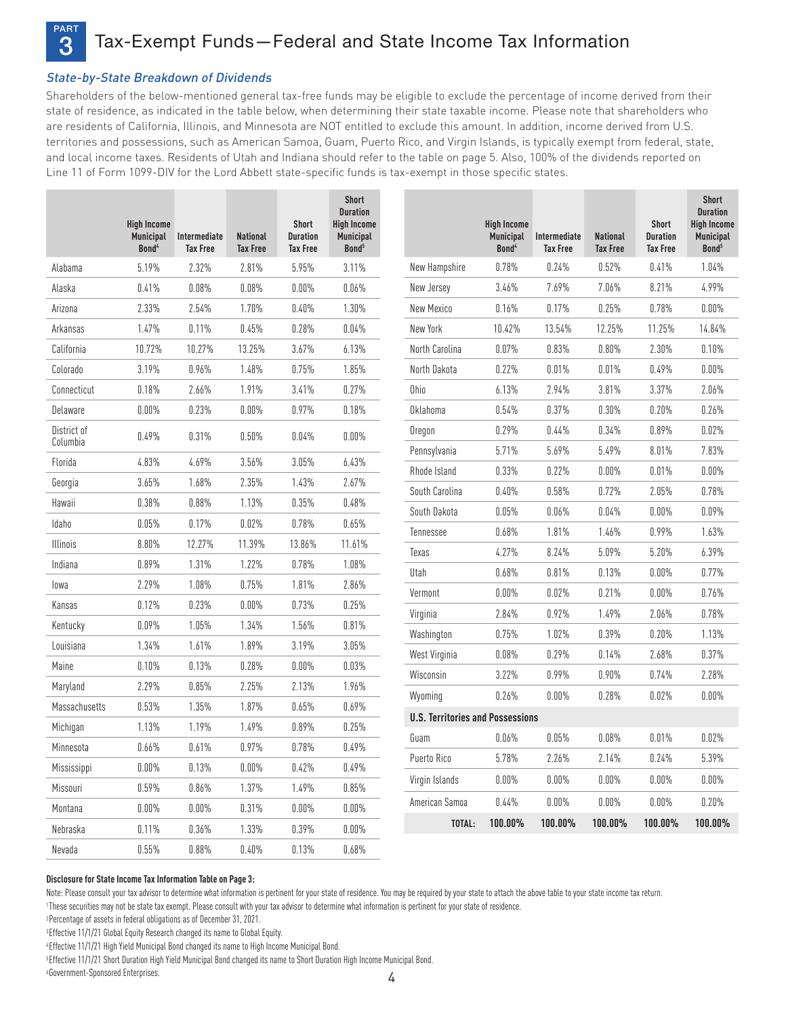

Tax-Exempt Funds-Federal and State Income Tax Information

# State-by-State Breakdown of Dividends

Shareholders of the below-mentioned general tax-free funds may be eligible to exclude the percentage of income derived from their state of residence, as indicated in the table below, when determining their state taxable income. Please note that shareholders who are residents of California, Illinois, and Minnesota are NOT entitled to exclude this amount. In addition, income derived from U.S. territories and possessions, such as American Samoa, Guam, Puerto Rico, and Virgin Islands, is typically exempt from federal, state, and local income taxes. Residents of Utah and Indiana should refer to the table on page 5. Also, 100% of the dividends reported on Line 11 of Form 1099-DIV for the Lord Abbett state-specific funds is tax-exempt in those specific states.

|                 | <b>High Income</b><br><b>Municipal</b><br>Bond <sup>4</sup> | Intermediate<br><b>Tax Free</b> | <b>National</b><br><b>Tax Free</b> | <b>Short</b><br><b>Duration</b><br><b>Tax Free</b> | <b>Short</b><br><b>Duration</b><br><b>High Income</b><br>Municipal<br>Bond <sup>5</sup> |                                         | <b>High Income</b><br>Municipal<br>Bond <sup>4</sup> | Intermediate<br><b>Tax Free</b> | <b>National</b><br><b>Tax Free</b> | <b>Short</b><br><b>Duration</b><br><b>Tax Free</b> | <b>Short</b><br><b>Duration</b><br><b>High Income</b><br><b>Municipal</b><br>Bond <sup>5</sup> |
|-----------------|-------------------------------------------------------------|---------------------------------|------------------------------------|----------------------------------------------------|-----------------------------------------------------------------------------------------|-----------------------------------------|------------------------------------------------------|---------------------------------|------------------------------------|----------------------------------------------------|------------------------------------------------------------------------------------------------|
| Alabama         | 5.19%                                                       | 2.32%                           | 2.81%                              | 5.95%                                              | 3.11%                                                                                   | New Hampshire                           | 0.78%                                                | 0.24%                           | 0.52%                              | 0.41%                                              | 1.04%                                                                                          |
| Alaska          | 0.41%                                                       | 0.08%                           | $0.08\%$                           | $0.00\%$                                           | 0.06%                                                                                   | New Jersey                              | 3.46%                                                | 7.69%                           | 7.06%                              | 8.21%                                              | 4.99%                                                                                          |
| Arizona         | 2.33%                                                       | 2.54%                           | 1.70%                              | 0.40%                                              | 1.30%                                                                                   | New Mexico                              | 0.16%                                                | 0.17%                           | 0.25%                              | 0.78%                                              | 0.00%                                                                                          |
| Arkansas        | 1.47%                                                       | 0.11%                           | 0.45%                              | 0.28%                                              | 0.04%                                                                                   | New York                                | 10.42%                                               | 13.54%                          | 12.25%                             | 11.25%                                             | 14.84%                                                                                         |
| California      | 10.72%                                                      | 10.27%                          | 13.25%                             | 3.67%                                              | 6.13%                                                                                   | North Carolina                          | 0.07%                                                | 0.83%                           | 0.80%                              | 2.30%                                              | 0.10%                                                                                          |
| Colorado        | 3.19%                                                       | 0.96%                           | 1.48%                              | 0.75%                                              | 1.85%                                                                                   | North Dakota                            | 0.22%                                                | 0.01%                           | 0.01%                              | 0.49%                                              | 0.00%                                                                                          |
| Connecticut     | 0.18%                                                       | 2.66%                           | 1.91%                              | 3.41%                                              | 0.27%                                                                                   | Ohio                                    | 6.13%                                                | 2.94%                           | 3.81%                              | 3.37%                                              | 2.06%                                                                                          |
| Delaware        | 0.00%                                                       | 0.23%                           | $0.00\%$                           | 0.97%                                              | 0.18%                                                                                   | Oklahoma                                | 0.54%                                                | 0.37%                           | 0.30%                              | 0.20%                                              | 0.26%                                                                                          |
| District of     | 0.49%                                                       | 0.31%                           | 0.50%                              | 0.04%                                              | $0.00\%$                                                                                | Oregon                                  | 0.29%                                                | 0.44%                           | 0.34%                              | 0.89%                                              | 0.02%                                                                                          |
| Columbia        |                                                             |                                 |                                    |                                                    |                                                                                         | Pennsylvania                            | 5.71%                                                | 5.69%                           | 5.49%                              | 8.01%                                              | 7.83%                                                                                          |
| Florida         | 4.83%                                                       | 4.69%                           | 3.56%                              | 3.05%                                              | 6.43%                                                                                   | Rhode Island                            | 0.33%                                                | 0.22%                           | $0.00\%$                           | 0.01%                                              | $0.00\%$                                                                                       |
| Georgia         | 3.65%                                                       | 1.68%                           | 2.35%                              | 1.43%                                              | 2.67%                                                                                   | South Carolina                          | 0.40%                                                | 0.58%                           | 0.72%                              | 2.05%                                              | 0.78%                                                                                          |
| Hawaii          | 0.38%                                                       | 0.88%                           | 1.13%                              | 0.35%                                              | 0.48%                                                                                   | South Dakota                            | 0.05%                                                | 0.06%                           | 0.04%                              | $0.00\%$                                           | 0.09%                                                                                          |
| Idaho           | 0.05%                                                       | 0.17%                           | 0.02%                              | 0.78%                                              | 0.65%                                                                                   | Tennessee                               | 0.68%                                                | 1.81%                           | 1.46%                              | 0.99%                                              | 1.63%                                                                                          |
| <b>Illinois</b> | 8.80%                                                       | 12.27%                          | 11.39%                             | 13.86%                                             | 11.61%                                                                                  | Texas                                   | 4.27%                                                | 8.24%                           | 5.09%                              | 5.20%                                              | 6.39%                                                                                          |
| Indiana         | 0.89%                                                       | 1.31%                           | 1.22%                              | 0.78%                                              | 1.08%                                                                                   | Utah                                    | 0.68%                                                | 0.81%                           | 0.13%                              | 0.00%                                              | 0.77%                                                                                          |
| lowa            | 2.29%                                                       | 1.08%                           | 0.75%                              | 1.81%                                              | 2.86%                                                                                   | Vermont                                 | $0.00\%$                                             | 0.02%                           | 0.21%                              | $0.00\%$                                           | 0.76%                                                                                          |
| Kansas          | 0.12%                                                       | 0.23%                           | $0.00\%$                           | 0.73%                                              | 0.25%                                                                                   | Virginia                                | 2.84%                                                | 0.92%                           | 1.49%                              | 2.06%                                              | 0.78%                                                                                          |
| Kentucky        | 0.09%                                                       | 1.05%                           | 1.34%                              | 1.56%                                              | 0.81%                                                                                   | Washington                              | 0.75%                                                | 1.02%                           | 0.39%                              | 0.20%                                              | 1.13%                                                                                          |
| Louisiana       | 1.34%                                                       | 1.61%                           | 1.89%                              | 3.19%                                              | 3.05%                                                                                   | West Virginia                           | 0.08%                                                | 0.29%                           | 0.14%                              | 2.68%                                              | 0.37%                                                                                          |
| Maine           | 0.10%                                                       | 0.13%                           | 0.28%                              | 0.00%                                              | 0.03%                                                                                   | Wisconsin                               | 3.22%                                                | 0.99%                           | 0.90%                              | 0.74%                                              | 2.28%                                                                                          |
| Maryland        | 2.29%                                                       | 0.85%                           | 2.25%                              | 2.13%                                              | 1.96%                                                                                   | Wyoming                                 | 0.26%                                                | $0.00\%$                        | 0.28%                              | 0.02%                                              | $0.00\%$                                                                                       |
| Massachusetts   | 0.53%                                                       | 1.35%                           | 1.87%                              | 0.65%                                              | 0.69%                                                                                   | <b>U.S. Territories and Possessions</b> |                                                      |                                 |                                    |                                                    |                                                                                                |
| Michigan        | 1.13%                                                       | 1.19%                           | 1.49%                              | 0.89%                                              | 0.25%                                                                                   | Guam                                    | 0.06%                                                | 0.05%                           | 0.08%                              | 0.01%                                              | 0.02%                                                                                          |
| Minnesota       | 0.66%                                                       | 0.61%                           | 0.97%                              | 0.78%                                              | 0.49%                                                                                   | Puerto Rico                             | 5.78%                                                | 2.26%                           | 2.14%                              | 0.24%                                              | 5.39%                                                                                          |
| Mississippi     | $0.00\%$                                                    | 0.13%                           | $0.00\%$                           | 0.42%                                              | 0.49%                                                                                   |                                         |                                                      | $0.00\%$                        | $0.00\%$                           |                                                    | 0.00%                                                                                          |
| Missouri        | 0.59%                                                       | $0.86\%$                        | 1.37%                              | 1.49%                                              | 0.85%                                                                                   | Virgin Islands                          | 0.00%                                                |                                 |                                    | 0.00%                                              |                                                                                                |
| Montana         | 0.00%                                                       | 0.00%                           | 0.31%                              | 0.00%                                              | $0.00\%$                                                                                | American Samoa                          | 0.44%                                                | $0.00\%$                        | 0.00%                              | $0.00\%$                                           | 0.20%                                                                                          |
| Nebraska        | 0.11%                                                       | 0.36%                           | 1.33%                              | 0.39%                                              | $0.00\%$                                                                                | TOTAL:                                  | 100.00%                                              | 100.00%                         | 100.00%                            | 100.00%                                            | 100.00%                                                                                        |

#### **Disclosure for State Income Tax Information Table on Page 3:**

Note: Please consult your tax advisor to determine what information is pertinent for your state of residence. You may be required by your state to attach the above table to your state income tax return.

1These securities may not be state tax exempt. Please consult with your tax advisor to determine what information is pertinent for your state of residence.

2Percentage of assets in federal obligations as of December 31, 2021.

<sup>3</sup>Effective 11/1/21 Global Equity Research changed its name to Global Equity.

4Effective 11/1/21 High Yield Municipal Bond changed its name to High Income Municipal Bond.

Nevada 0.55% 0.88% 0.40% 0.13% 0.68%

**<sup>5</sup>Effective 11/1/21 Short Duration High Yield Municipal Bond changed its name to Short Duration High Income Municipal Bond.** 

6Government-Sponsored Enterprises.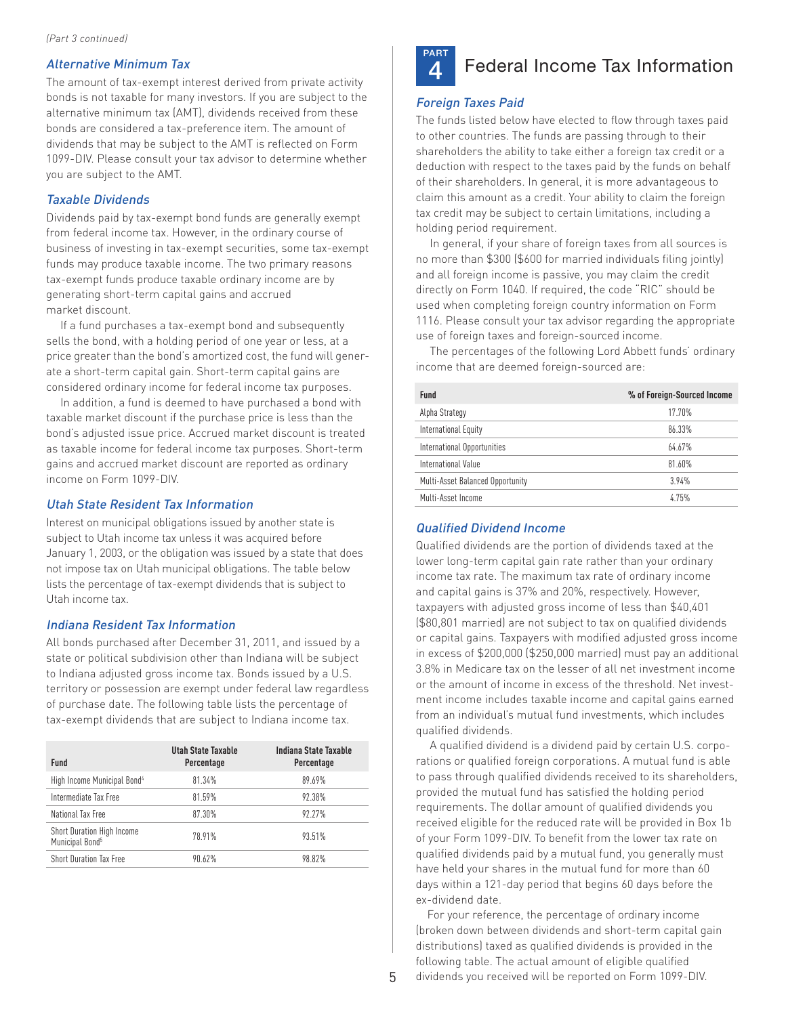# Alternative Minimum Tax

The amount of tax-exempt interest derived from private activity bonds is not taxable for many investors. If you are subject to the alternative minimum tax (AMT), dividends received from these bonds are considered a tax-preference item. The amount of dividends that may be subject to the AMT is reflected on Form 1099-DIV. Please consult your tax advisor to determine whether you are subject to the AMT.

#### Taxable Dividends

Dividends paid by tax-exempt bond funds are generally exempt from federal income tax. However, in the ordinary course of business of investing in tax-exempt securities, some tax-exempt funds may produce taxable income. The two primary reasons tax-exempt funds produce taxable ordinary income are by generating short-term capital gains and accrued market discount.

If a fund purchases a tax-exempt bond and subsequently sells the bond, with a holding period of one year or less, at a price greater than the bond's amortized cost, the fund will generate a short-term capital gain. Short-term capital gains are considered ordinary income for federal income tax purposes.

In addition, a fund is deemed to have purchased a bond with taxable market discount if the purchase price is less than the bond's adjusted issue price. Accrued market discount is treated as taxable income for federal income tax purposes. Short-term gains and accrued market discount are reported as ordinary income on Form 1099-DIV.

### Utah State Resident Tax Information

Interest on municipal obligations issued by another state is subject to Utah income tax unless it was acquired before January 1, 2003, or the obligation was issued by a state that does not impose tax on Utah municipal obligations. The table below lists the percentage of tax-exempt dividends that is subject to Utah income tax.

### Indiana Resident Tax Information

All bonds purchased after December 31, 2011, and issued by a state or political subdivision other than Indiana will be subject to Indiana adjusted gross income tax. Bonds issued by a U.S. territory or possession are exempt under federal law regardless of purchase date. The following table lists the percentage of tax-exempt dividends that are subject to Indiana income tax.

| <b>Fund</b>                                               | Utah State Taxable<br>Percentage | Indiana State Taxable<br>Percentage |
|-----------------------------------------------------------|----------------------------------|-------------------------------------|
| High Income Municipal Bond <sup>4</sup>                   | 81.34%                           | 89.69%                              |
| Intermediate Tax Free                                     | 81.59%                           | 92.38%                              |
| National Tax Free                                         | 87.30%                           | 92.27%                              |
| Short Duration High Income<br>Municipal Bond <sup>5</sup> | 78.91%                           | 93.51%                              |
| <b>Short Duration Tax Free</b>                            | 90.62%                           | 98.82%                              |



# **4** Federal Income Tax Information

### Foreign Taxes Paid

The funds listed below have elected to flow through taxes paid to other countries. The funds are passing through to their shareholders the ability to take either a foreign tax credit or a deduction with respect to the taxes paid by the funds on behalf of their shareholders. In general, it is more advantageous to claim this amount as a credit. Your ability to claim the foreign tax credit may be subject to certain limitations, including a holding period requirement.

In general, if your share of foreign taxes from all sources is no more than \$300 (\$600 for married individuals filing jointly) and all foreign income is passive, you may claim the credit directly on Form 1040. If required, the code "RIC" should be used when completing foreign country information on Form 1116. Please consult your tax advisor regarding the appropriate use of foreign taxes and foreign-sourced income.

The percentages of the following Lord Abbett funds' ordinary income that are deemed foreign-sourced are:

| <b>Fund</b>                      | % of Foreign-Sourced Income |
|----------------------------------|-----------------------------|
| Alpha Strategy                   | 17.70%                      |
| International Equity             | 86.33%                      |
| International Opportunities      | 64.67%                      |
| International Value              | $81.60\%$                   |
| Multi-Asset Balanced Opportunity | 3.94%                       |
| Multi-Asset Income               | 4.75%                       |

#### Qualified Dividend Income

Qualified dividends are the portion of dividends taxed at the lower long-term capital gain rate rather than your ordinary income tax rate. The maximum tax rate of ordinary income and capital gains is 37% and 20%, respectively. However, taxpayers with adjusted gross income of less than \$40,401 (\$80,801 married) are not subject to tax on qualified dividends or capital gains. Taxpayers with modified adjusted gross income in excess of \$200,000 (\$250,000 married) must pay an additional 3.8% in Medicare tax on the lesser of all net investment income or the amount of income in excess of the threshold. Net investment income includes taxable income and capital gains earned from an individual's mutual fund investments, which includes qualified dividends.

A qualified dividend is a dividend paid by certain U.S. corporations or qualified foreign corporations. A mutual fund is able to pass through qualified dividends received to its shareholders, provided the mutual fund has satisfied the holding period requirements. The dollar amount of qualified dividends you received eligible for the reduced rate will be provided in Box 1b of your Form 1099-DIV. To benefit from the lower tax rate on qualified dividends paid by a mutual fund, you generally must have held your shares in the mutual fund for more than 60 days within a 121-day period that begins 60 days before the ex-dividend date.

For your reference, the percentage of ordinary income (broken down between dividends and short-term capital gain distributions) taxed as qualified dividends is provided in the following table. The actual amount of eligible qualified dividends you received will be reported on Form 1099-DIV.